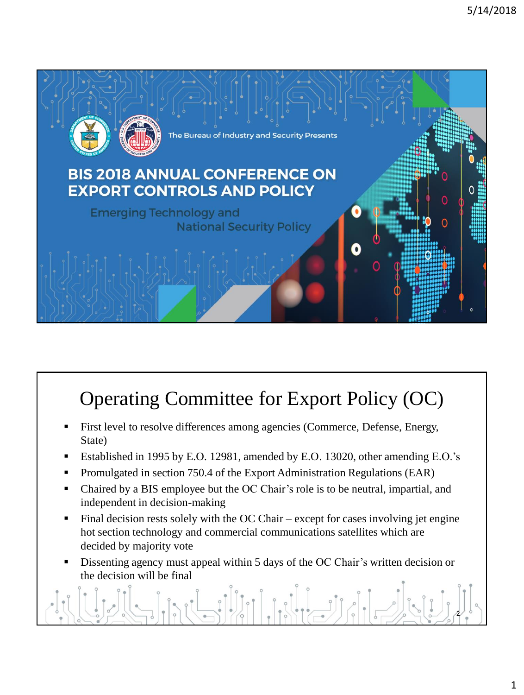

# Operating Committee for Export Policy (OC)

- First level to resolve differences among agencies (Commerce, Defense, Energy, State)
- Established in 1995 by E.O. 12981, amended by E.O. 13020, other amending E.O.'s
- Promulgated in section 750.4 of the Export Administration Regulations (EAR)
- Chaired by a BIS employee but the OC Chair's role is to be neutral, impartial, and independent in decision-making
- Final decision rests solely with the OC Chair except for cases involving jet engine hot section technology and commercial communications satellites which are decided by majority vote
- Dissenting agency must appeal within 5 days of the OC Chair's written decision or the decision will be final

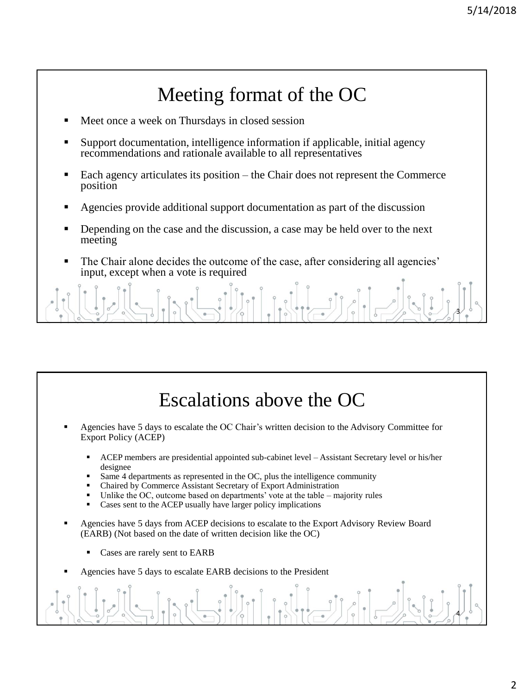### Meeting format of the OC

- Meet once a week on Thursdays in closed session
- Support documentation, intelligence information if applicable, initial agency recommendations and rationale available to all representatives
- Each agency articulates its position the Chair does not represent the Commerce position
- Agencies provide additional support documentation as part of the discussion
- Depending on the case and the discussion, a case may be held over to the next meeting
- The Chair alone decides the outcome of the case, after considering all agencies' input, except when a vote is required

3

### Escalations above the OC

- Agencies have 5 days to escalate the OC Chair's written decision to the Advisory Committee for Export Policy (ACEP)
	- ACEP members are presidential appointed sub-cabinet level Assistant Secretary level or his/her designee
	- Same 4 departments as represented in the OC, plus the intelligence community
	- Chaired by Commerce Assistant Secretary of Export Administration
	- Unlike the OC, outcome based on departments' vote at the table  $-$  majority rules
	- Cases sent to the ACEP usually have larger policy implications
- Agencies have 5 days from ACEP decisions to escalate to the Export Advisory Review Board (EARB) (Not based on the date of written decision like the OC)
	- Cases are rarely sent to EARB
- Agencies have 5 days to escalate EARB decisions to the President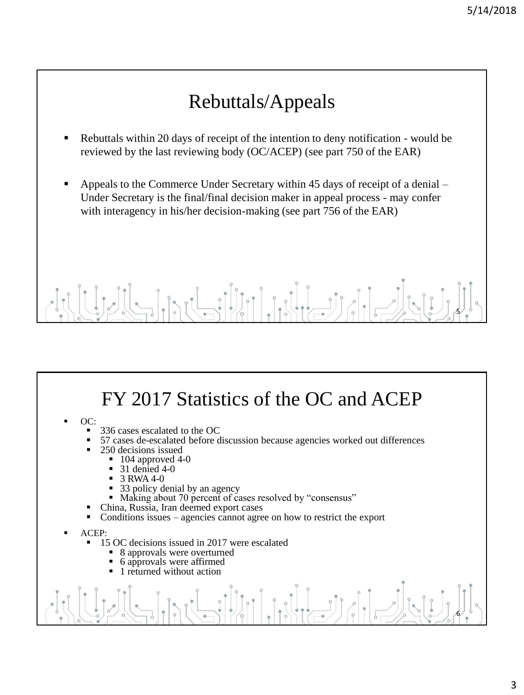# Rebuttals/Appeals

- Rebuttals within 20 days of receipt of the intention to deny notification would be reviewed by the last reviewing body (OC/ACEP) (see part 750 of the EAR)
- Appeals to the Commerce Under Secretary within  $45$  days of receipt of a denial Under Secretary is the final/final decision maker in appeal process - may confer with interagency in his/her decision-making (see part 756 of the EAR)

# 5

#### OC: 336 cases escalated to the OC FY 2017 Statistics of the OC and ACEP

- 57 cases de-escalated before discussion because agencies worked out differences
- 250 decisions issued
	- $104$  approved  $4-0$ 
		- $31$  denied  $4-0$
		- 3 RWA 4-0
		- 33 policy denial by an agency
	- Making about 70 percent of cases resolved by "consensus"
- China, Russia, Iran deemed export cases
- Conditions issues agencies cannot agree on how to restrict the export
- ACEP:
	- 15 OC decisions issued in 2017 were escalated
		- 8 approvals were overturned
		- 6 approvals were affirmed
		- 1 returned without action

6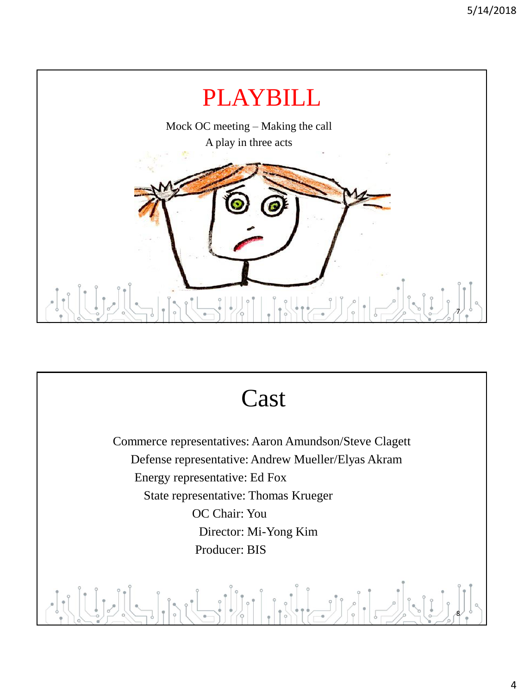

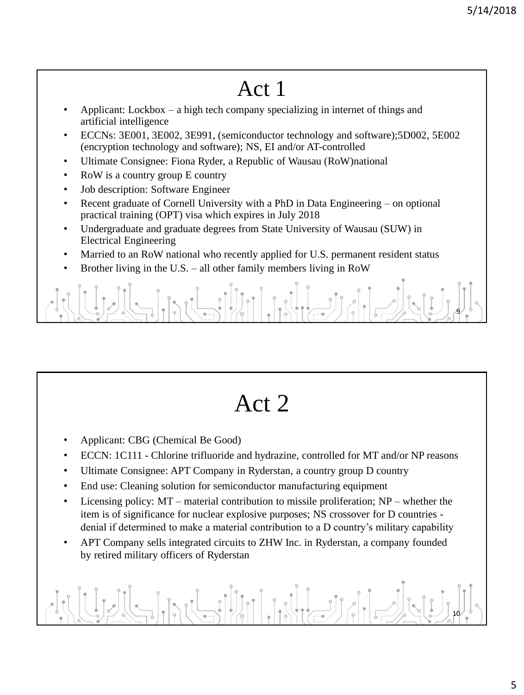# Act 1

- Applicant: Lockbox a high tech company specializing in internet of things and artificial intelligence
- ECCNs: 3E001, 3E002, 3E991, (semiconductor technology and software);5D002, 5E002 (encryption technology and software); NS, EI and/or AT-controlled
- Ultimate Consignee: Fiona Ryder, a Republic of Wausau (RoW)national
- RoW is a country group E country
- Job description: Software Engineer
- Recent graduate of Cornell University with a PhD in Data Engineering on optional practical training (OPT) visa which expires in July 2018
- Undergraduate and graduate degrees from State University of Wausau (SUW) in Electrical Engineering
- Married to an RoW national who recently applied for U.S. permanent resident status
- Brother living in the U.S. all other family members living in RoW



# Act 2

- Applicant: CBG (Chemical Be Good)
- ECCN: 1C111 Chlorine trifluoride and hydrazine, controlled for MT and/or NP reasons
- Ultimate Consignee: APT Company in Ryderstan, a country group D country
- End use: Cleaning solution for semiconductor manufacturing equipment
- Licensing policy: MT material contribution to missile proliferation; NP whether the item is of significance for nuclear explosive purposes; NS crossover for D countries denial if determined to make a material contribution to a D country's military capability
- APT Company sells integrated circuits to ZHW Inc. in Ryderstan, a company founded by retired military officers of Ryderstan